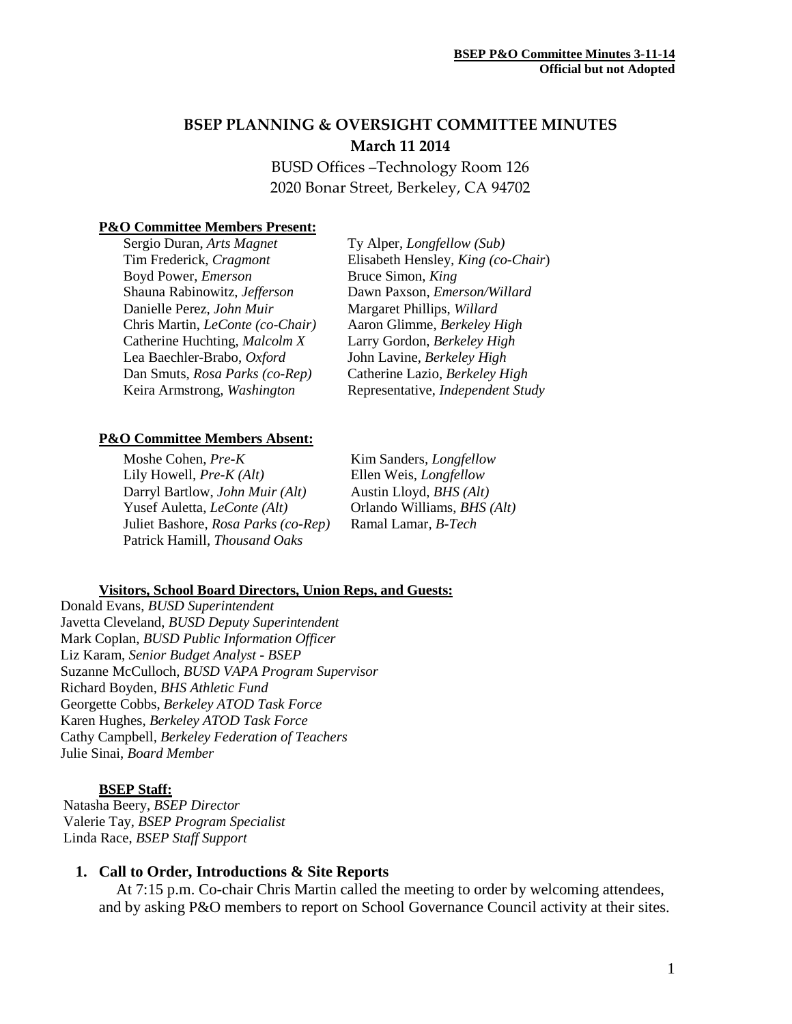# **BSEP PLANNING & OVERSIGHT COMMITTEE MINUTES March 11 2014**

BUSD Offices –Technology Room 126 2020 Bonar Street, Berkeley, CA 94702

### **P&O Committee Members Present:**

Sergio Duran, *Arts Magnet* Tim Frederick, *Cragmont* Boyd Power, *Emerson* Shauna Rabinowitz, *Jefferson* Danielle Perez, *John Muir* Chris Martin, *LeConte (co-Chair)* Catherine Huchting, *Malcolm X* Lea Baechler-Brabo, *Oxford* Dan Smuts, *Rosa Parks (co-Rep)* Keira Armstrong, *Washington*

Ty Alper, *Longfellow (Sub)* Elisabeth Hensley*, King (co-Chair*) Bruce Simon, *King* Dawn Paxson, *Emerson/Willard* Margaret Phillips, *Willard* Aaron Glimme, *Berkeley High* Larry Gordon, *Berkeley High* John Lavine, *Berkeley High* Catherine Lazio, *Berkeley High* Representative, *Independent Study*

#### **P&O Committee Members Absent:**

Moshe Cohen, *Pre-K* Lily Howell, *Pre-K (Alt)* Darryl Bartlow, *John Muir (Alt)* Yusef Auletta, *LeConte (Alt)* Juliet Bashore, *Rosa Parks (co-Rep)* Patrick Hamill, *Thousand Oaks*

Kim Sanders*, Longfellow* Ellen Weis, *Longfellow* Austin Lloyd, *BHS (Alt)* Orlando Williams, *BHS (Alt)* Ramal Lamar*, B-Tech*

#### **Visitors, School Board Directors, Union Reps, and Guests:**

Donald Evans, *BUSD Superintendent* Javetta Cleveland, *BUSD Deputy Superintendent* Mark Coplan, *BUSD Public Information Officer* Liz Karam, *Senior Budget Analyst - BSEP* Suzanne McCulloch*, BUSD VAPA Program Supervisor* Richard Boyden, *BHS Athletic Fund* Georgette Cobbs, *Berkeley ATOD Task Force*  Karen Hughes, *Berkeley ATOD Task Force* Cathy Campbell*, Berkeley Federation of Teachers* Julie Sinai, *Board Member*

#### **BSEP Staff:**

 Natasha Beery, *BSEP Director* Valerie Tay, *BSEP Program Specialist* Linda Race, *BSEP Staff Support*

#### **1. Call to Order, Introductions & Site Reports**

At 7:15 p.m. Co-chair Chris Martin called the meeting to order by welcoming attendees, and by asking P&O members to report on School Governance Council activity at their sites.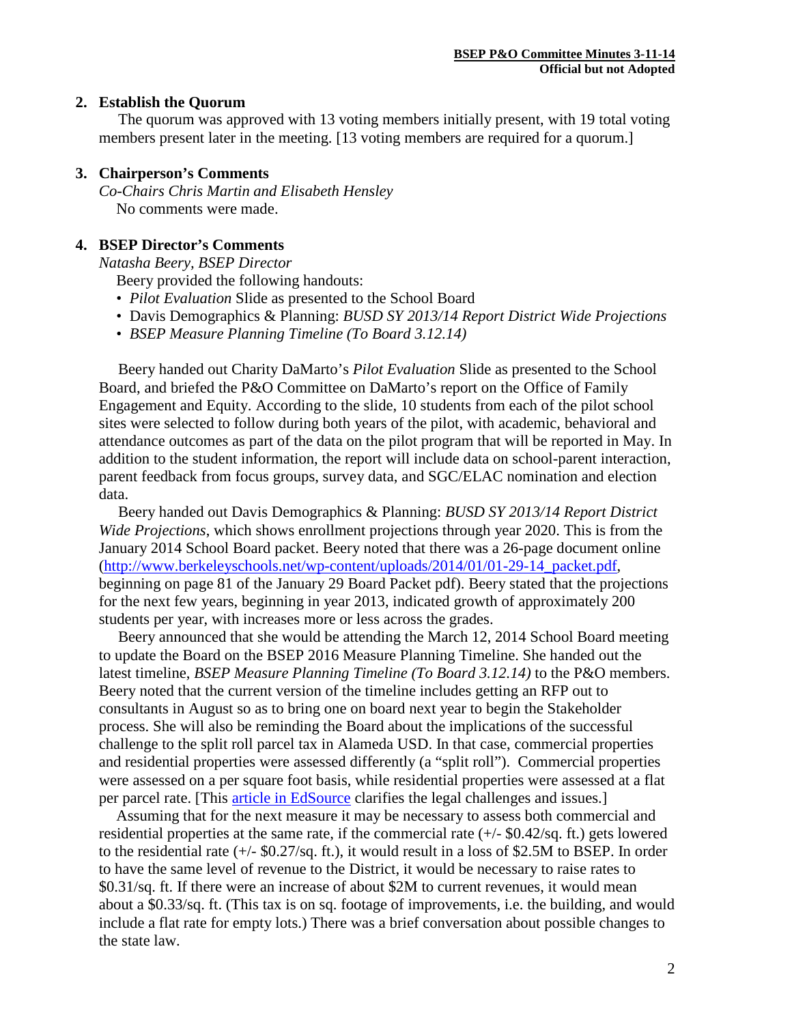### **2. Establish the Quorum**

 The quorum was approved with 13 voting members initially present, with 19 total voting members present later in the meeting. [13 voting members are required for a quorum.]

# **3. Chairperson's Comments**

*Co-Chairs Chris Martin and Elisabeth Hensley* No comments were made.

# **4. BSEP Director's Comments**

*Natasha Beery, BSEP Director*

Beery provided the following handouts:

- *Pilot Evaluation* Slide as presented to the School Board
- Davis Demographics & Planning: *BUSD SY 2013/14 Report District Wide Projections*
- *BSEP Measure Planning Timeline (To Board 3.12.14)*

 Beery handed out Charity DaMarto's *Pilot Evaluation* Slide as presented to the School Board, and briefed the P&O Committee on DaMarto's report on the Office of Family Engagement and Equity. According to the slide, 10 students from each of the pilot school sites were selected to follow during both years of the pilot, with academic, behavioral and attendance outcomes as part of the data on the pilot program that will be reported in May. In addition to the student information, the report will include data on school-parent interaction, parent feedback from focus groups, survey data, and SGC/ELAC nomination and election data.

 Beery handed out Davis Demographics & Planning: *BUSD SY 2013/14 Report District Wide Projections*, which shows enrollment projections through year 2020. This is from the January 2014 School Board packet. Beery noted that there was a 26-page document online [\(http://www.berkeleyschools.net/wp-content/uploads/2014/01/01-29-14\\_packet.pdf,](http://www.berkeleyschools.net/wp-content/uploads/2014/01/01-29-14_packet.pdf) beginning on page 81 of the January 29 Board Packet pdf). Beery stated that the projections for the next few years, beginning in year 2013, indicated growth of approximately 200 students per year, with increases more or less across the grades.

 Beery announced that she would be attending the March 12, 2014 School Board meeting to update the Board on the BSEP 2016 Measure Planning Timeline. She handed out the latest timeline, *BSEP Measure Planning Timeline (To Board 3.12.14)* to the P&O members. Beery noted that the current version of the timeline includes getting an RFP out to consultants in August so as to bring one on board next year to begin the Stakeholder process. She will also be reminding the Board about the implications of the successful challenge to the split roll parcel tax in Alameda USD. In that case, commercial properties and residential properties were assessed differently (a "split roll"). Commercial properties were assessed on a per square foot basis, while residential properties were assessed at a flat per parcel rate. [This article in EdSource clarifies the legal challenges and issues.]

Assuming that for the next measure it may be necessary to assess both commercial and residential properties at the same rate, if the commercial rate (+/- \$0.42/sq. ft.) gets lowered to the residential rate (+/- \$0.27/sq. ft.), it would result in a loss of \$2.5M to BSEP. In order to have the same level of revenue to the District, it would be necessary to raise rates to \$0.31/sq. ft. If there were an increase of about \$2M to current revenues, it would mean about a \$0.33/sq. ft. (This tax is on sq. footage of improvements, i.e. the building, and would include a flat rate for empty lots.) There was a brief conversation about possible changes to the state law.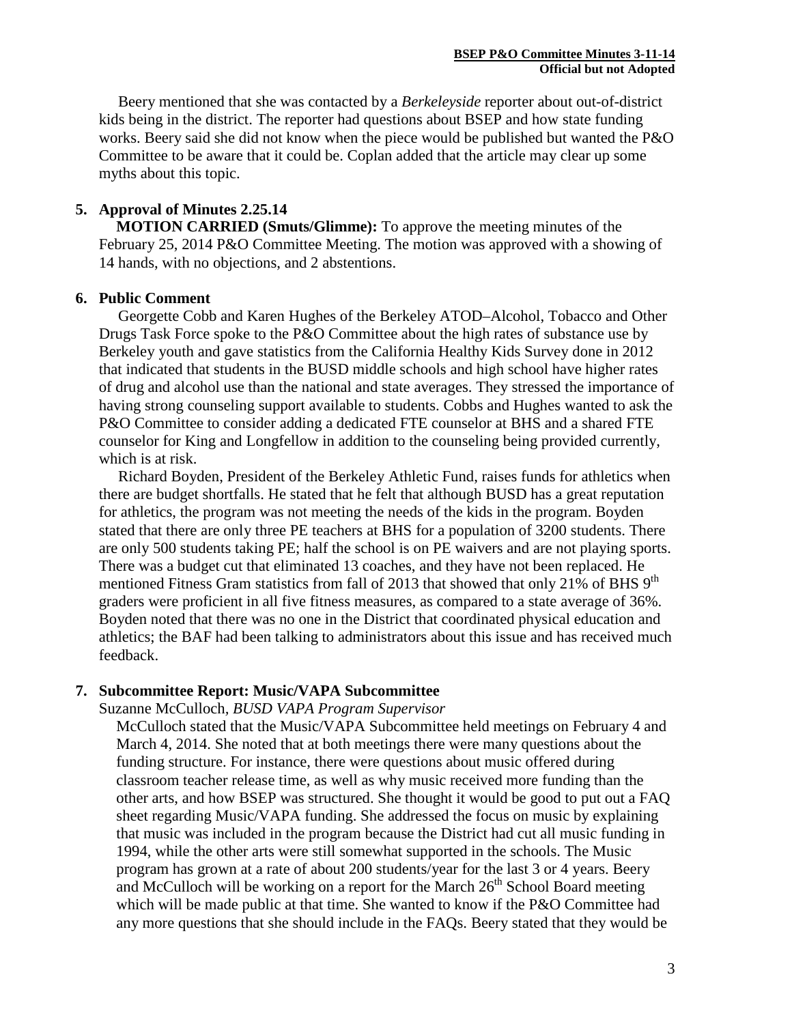Beery mentioned that she was contacted by a *Berkeleyside* reporter about out-of-district kids being in the district. The reporter had questions about BSEP and how state funding works. Beery said she did not know when the piece would be published but wanted the P&O Committee to be aware that it could be. Coplan added that the article may clear up some myths about this topic.

# **5. Approval of Minutes 2.25.14**

**MOTION CARRIED (Smuts/Glimme):** To approve the meeting minutes of the February 25, 2014 P&O Committee Meeting. The motion was approved with a showing of 14 hands, with no objections, and 2 abstentions.

### **6. Public Comment**

 Georgette Cobb and Karen Hughes of the Berkeley ATOD–Alcohol, Tobacco and Other Drugs Task Force spoke to the P&O Committee about the high rates of substance use by Berkeley youth and gave statistics from the California Healthy Kids Survey done in 2012 that indicated that students in the BUSD middle schools and high school have higher rates of drug and alcohol use than the national and state averages. They stressed the importance of having strong counseling support available to students. Cobbs and Hughes wanted to ask the P&O Committee to consider adding a dedicated FTE counselor at BHS and a shared FTE counselor for King and Longfellow in addition to the counseling being provided currently, which is at risk.

 Richard Boyden, President of the Berkeley Athletic Fund, raises funds for athletics when there are budget shortfalls. He stated that he felt that although BUSD has a great reputation for athletics, the program was not meeting the needs of the kids in the program. Boyden stated that there are only three PE teachers at BHS for a population of 3200 students. There are only 500 students taking PE; half the school is on PE waivers and are not playing sports. There was a budget cut that eliminated 13 coaches, and they have not been replaced. He mentioned Fitness Gram statistics from fall of 2013 that showed that only 21% of BHS 9<sup>th</sup> graders were proficient in all five fitness measures, as compared to a state average of 36%. Boyden noted that there was no one in the District that coordinated physical education and athletics; the BAF had been talking to administrators about this issue and has received much feedback.

### **7. Subcommittee Report: Music/VAPA Subcommittee**

Suzanne McCulloch*, BUSD VAPA Program Supervisor*

McCulloch stated that the Music/VAPA Subcommittee held meetings on February 4 and March 4, 2014. She noted that at both meetings there were many questions about the funding structure. For instance, there were questions about music offered during classroom teacher release time, as well as why music received more funding than the other arts, and how BSEP was structured. She thought it would be good to put out a FAQ sheet regarding Music/VAPA funding. She addressed the focus on music by explaining that music was included in the program because the District had cut all music funding in 1994, while the other arts were still somewhat supported in the schools. The Music program has grown at a rate of about 200 students/year for the last 3 or 4 years. Beery and McCulloch will be working on a report for the March  $26<sup>th</sup>$  School Board meeting which will be made public at that time. She wanted to know if the P&O Committee had any more questions that she should include in the FAQs. Beery stated that they would be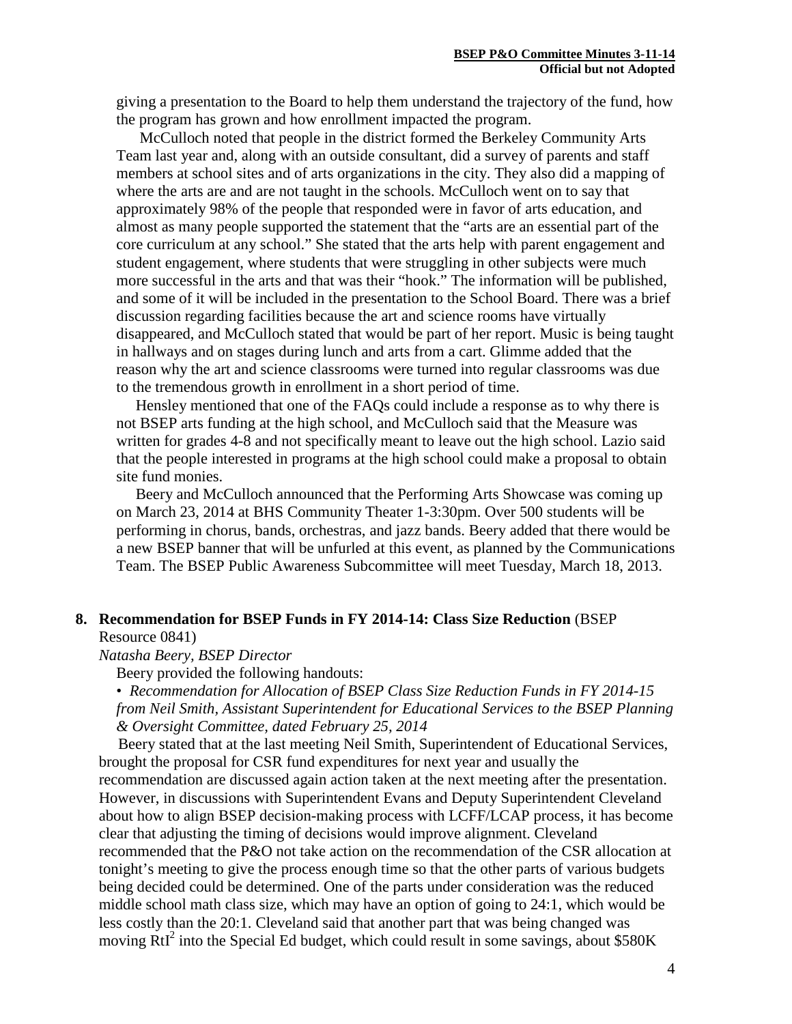giving a presentation to the Board to help them understand the trajectory of the fund, how the program has grown and how enrollment impacted the program.

McCulloch noted that people in the district formed the Berkeley Community Arts Team last year and, along with an outside consultant, did a survey of parents and staff members at school sites and of arts organizations in the city. They also did a mapping of where the arts are and are not taught in the schools. McCulloch went on to say that approximately 98% of the people that responded were in favor of arts education, and almost as many people supported the statement that the "arts are an essential part of the core curriculum at any school." She stated that the arts help with parent engagement and student engagement, where students that were struggling in other subjects were much more successful in the arts and that was their "hook." The information will be published, and some of it will be included in the presentation to the School Board. There was a brief discussion regarding facilities because the art and science rooms have virtually disappeared, and McCulloch stated that would be part of her report. Music is being taught in hallways and on stages during lunch and arts from a cart. Glimme added that the reason why the art and science classrooms were turned into regular classrooms was due to the tremendous growth in enrollment in a short period of time.

 Hensley mentioned that one of the FAQs could include a response as to why there is not BSEP arts funding at the high school, and McCulloch said that the Measure was written for grades 4-8 and not specifically meant to leave out the high school. Lazio said that the people interested in programs at the high school could make a proposal to obtain site fund monies.

 Beery and McCulloch announced that the Performing Arts Showcase was coming up on March 23, 2014 at BHS Community Theater 1-3:30pm. Over 500 students will be performing in chorus, bands, orchestras, and jazz bands. Beery added that there would be a new BSEP banner that will be unfurled at this event, as planned by the Communications Team. The BSEP Public Awareness Subcommittee will meet Tuesday, March 18, 2013.

### **8. Recommendation for BSEP Funds in FY 2014-14: Class Size Reduction** (BSEP Resource 0841)

*Natasha Beery, BSEP Director*

Beery provided the following handouts:

• *Recommendation for Allocation of BSEP Class Size Reduction Funds in FY 2014-15 from Neil Smith, Assistant Superintendent for Educational Services to the BSEP Planning & Oversight Committee, dated February 25, 2014*

 Beery stated that at the last meeting Neil Smith, Superintendent of Educational Services, brought the proposal for CSR fund expenditures for next year and usually the recommendation are discussed again action taken at the next meeting after the presentation. However, in discussions with Superintendent Evans and Deputy Superintendent Cleveland about how to align BSEP decision-making process with LCFF/LCAP process, it has become clear that adjusting the timing of decisions would improve alignment. Cleveland recommended that the P&O not take action on the recommendation of the CSR allocation at tonight's meeting to give the process enough time so that the other parts of various budgets being decided could be determined. One of the parts under consideration was the reduced middle school math class size, which may have an option of going to 24:1, which would be less costly than the 20:1. Cleveland said that another part that was being changed was moving RtI<sup>2</sup> into the Special Ed budget, which could result in some savings, about \$580K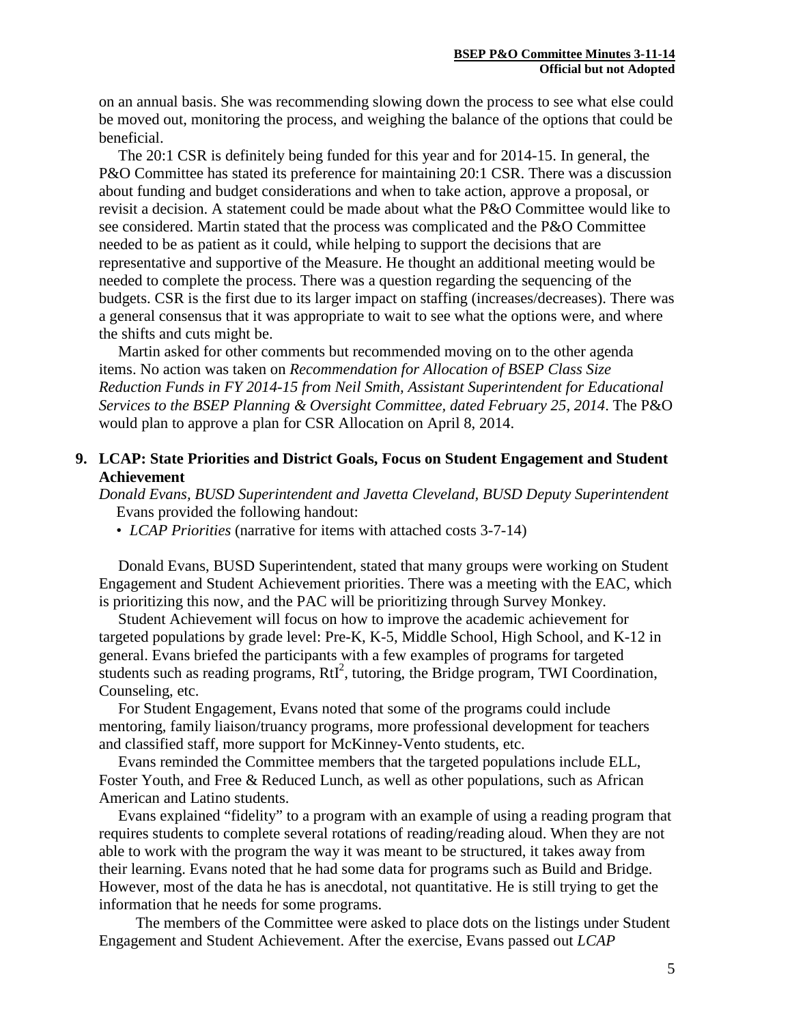on an annual basis. She was recommending slowing down the process to see what else could be moved out, monitoring the process, and weighing the balance of the options that could be beneficial.

 The 20:1 CSR is definitely being funded for this year and for 2014-15. In general, the P&O Committee has stated its preference for maintaining 20:1 CSR. There was a discussion about funding and budget considerations and when to take action, approve a proposal, or revisit a decision. A statement could be made about what the P&O Committee would like to see considered. Martin stated that the process was complicated and the P&O Committee needed to be as patient as it could, while helping to support the decisions that are representative and supportive of the Measure. He thought an additional meeting would be needed to complete the process. There was a question regarding the sequencing of the budgets. CSR is the first due to its larger impact on staffing (increases/decreases). There was a general consensus that it was appropriate to wait to see what the options were, and where the shifts and cuts might be.

 Martin asked for other comments but recommended moving on to the other agenda items. No action was taken on *Recommendation for Allocation of BSEP Class Size Reduction Funds in FY 2014-15 from Neil Smith, Assistant Superintendent for Educational Services to the BSEP Planning & Oversight Committee, dated February 25, 2014*. The P&O would plan to approve a plan for CSR Allocation on April 8, 2014.

### **9. LCAP: State Priorities and District Goals, Focus on Student Engagement and Student Achievement**

*Donald Evans, BUSD Superintendent and Javetta Cleveland, BUSD Deputy Superintendent* Evans provided the following handout:

• *LCAP Priorities* (narrative for items with attached costs 3-7-14)

 Donald Evans, BUSD Superintendent, stated that many groups were working on Student Engagement and Student Achievement priorities. There was a meeting with the EAC, which is prioritizing this now, and the PAC will be prioritizing through Survey Monkey.

 Student Achievement will focus on how to improve the academic achievement for targeted populations by grade level: Pre-K, K-5, Middle School, High School, and K-12 in general. Evans briefed the participants with a few examples of programs for targeted students such as reading programs, RtI<sup>2</sup>, tutoring, the Bridge program, TWI Coordination, Counseling, etc.

 For Student Engagement, Evans noted that some of the programs could include mentoring, family liaison/truancy programs, more professional development for teachers and classified staff, more support for McKinney-Vento students, etc.

 Evans reminded the Committee members that the targeted populations include ELL, Foster Youth, and Free & Reduced Lunch, as well as other populations, such as African American and Latino students.

 Evans explained "fidelity" to a program with an example of using a reading program that requires students to complete several rotations of reading/reading aloud. When they are not able to work with the program the way it was meant to be structured, it takes away from their learning. Evans noted that he had some data for programs such as Build and Bridge. However, most of the data he has is anecdotal, not quantitative. He is still trying to get the information that he needs for some programs.

 The members of the Committee were asked to place dots on the listings under Student Engagement and Student Achievement. After the exercise, Evans passed out *LCAP*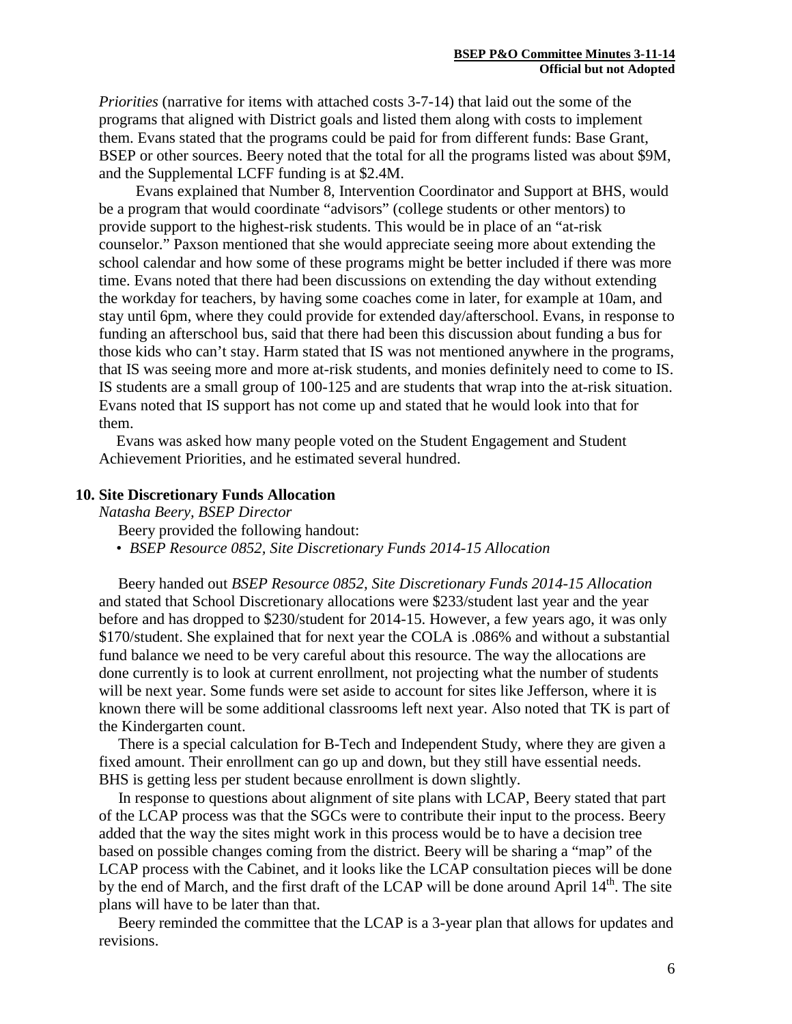*Priorities* (narrative for items with attached costs 3-7-14) that laid out the some of the programs that aligned with District goals and listed them along with costs to implement them. Evans stated that the programs could be paid for from different funds: Base Grant, BSEP or other sources. Beery noted that the total for all the programs listed was about \$9M, and the Supplemental LCFF funding is at \$2.4M.

 Evans explained that Number 8, Intervention Coordinator and Support at BHS, would be a program that would coordinate "advisors" (college students or other mentors) to provide support to the highest-risk students. This would be in place of an "at-risk counselor." Paxson mentioned that she would appreciate seeing more about extending the school calendar and how some of these programs might be better included if there was more time. Evans noted that there had been discussions on extending the day without extending the workday for teachers, by having some coaches come in later, for example at 10am, and stay until 6pm, where they could provide for extended day/afterschool. Evans, in response to funding an afterschool bus, said that there had been this discussion about funding a bus for those kids who can't stay. Harm stated that IS was not mentioned anywhere in the programs, that IS was seeing more and more at-risk students, and monies definitely need to come to IS. IS students are a small group of 100-125 and are students that wrap into the at-risk situation. Evans noted that IS support has not come up and stated that he would look into that for them.

Evans was asked how many people voted on the Student Engagement and Student Achievement Priorities, and he estimated several hundred.

#### **10. Site Discretionary Funds Allocation**

*Natasha Beery, BSEP Director*

Beery provided the following handout:

• *BSEP Resource 0852, Site Discretionary Funds 2014-15 Allocation*

 Beery handed out *BSEP Resource 0852, Site Discretionary Funds 2014-15 Allocation* and stated that School Discretionary allocations were \$233/student last year and the year before and has dropped to \$230/student for 2014-15. However, a few years ago, it was only \$170/student. She explained that for next year the COLA is .086% and without a substantial fund balance we need to be very careful about this resource. The way the allocations are done currently is to look at current enrollment, not projecting what the number of students will be next year. Some funds were set aside to account for sites like Jefferson, where it is known there will be some additional classrooms left next year. Also noted that TK is part of the Kindergarten count.

 There is a special calculation for B-Tech and Independent Study, where they are given a fixed amount. Their enrollment can go up and down, but they still have essential needs. BHS is getting less per student because enrollment is down slightly.

 In response to questions about alignment of site plans with LCAP, Beery stated that part of the LCAP process was that the SGCs were to contribute their input to the process. Beery added that the way the sites might work in this process would be to have a decision tree based on possible changes coming from the district. Beery will be sharing a "map" of the LCAP process with the Cabinet, and it looks like the LCAP consultation pieces will be done by the end of March, and the first draft of the LCAP will be done around April 14<sup>th</sup>. The site plans will have to be later than that.

 Beery reminded the committee that the LCAP is a 3-year plan that allows for updates and revisions.